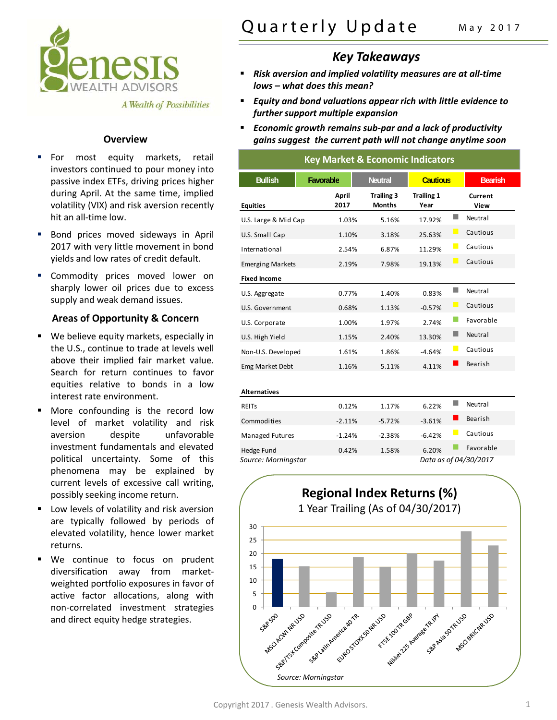

 For most equity markets, retail investors continued to pour money into passive index ETFs, driving prices higher

A Wealth of Possibilities

during April. At the same time, implied volatility (VIX) and risk aversion recently

 Bond prices moved sideways in April 2017 with very little movement in bond yields and low rates of credit default.

**EXECOMMODITY PRICES MOVED LOWER ON** sharply lower oil prices due to excess

supply and weak demand issues.

## Quarterly Update May 2017

## *Key Takeaways*

- *Risk aversion and implied volatility measures are at all‐time lows – what does this mean?*
- *Equity and bond valuations appear rich with little evidence to further support multiple expansion*
- *Economic growth remains sub‐par and a lack of productivity* **Overview** *gains suggest the current path will not change anytime soon*

| <b>Key Market &amp; Economic Indicators</b> |                  |                                    |                           |                |                       |  |  |
|---------------------------------------------|------------------|------------------------------------|---------------------------|----------------|-----------------------|--|--|
| <b>Bullish</b>                              | <b>Favorable</b> | <b>Neutral</b>                     | <b>Cautious</b>           |                | <b>Bearish</b>        |  |  |
| <b>Equities</b>                             | April<br>2017    | <b>Trailing 3</b><br><b>Months</b> | <b>Trailing 1</b><br>Year |                | Current<br>View       |  |  |
| U.S. Large & Mid Cap                        | 1.03%            | 5.16%                              | 17.92%                    | ٠              | Neutral               |  |  |
| U.S. Small Cap                              | 1.10%            | 3.18%                              | 25.63%                    | $\Box$         | Cautious              |  |  |
| International                               | 2.54%            | 6.87%                              | 11.29%                    | $\Box$         | Cautious              |  |  |
| <b>Emerging Markets</b>                     | 2.19%            | 7.98%                              | 19.13%                    |                | Cautious              |  |  |
| <b>Fixed Income</b>                         |                  |                                    |                           |                |                       |  |  |
| U.S. Aggregate                              | 0.77%            | 1.40%                              | 0.83%                     | H              | Neutral               |  |  |
| U.S. Government                             | 0.68%            | 1.13%                              | $-0.57%$                  | $\blacksquare$ | Cautious              |  |  |
| U.S. Corporate                              | 1.00%            | 1.97%                              | 2.74%                     |                | Favorable             |  |  |
| U.S. High Yield                             | 1.15%            | 2.40%                              | 13.30%                    | ٠              | Neutral               |  |  |
| Non-U.S. Developed                          | 1.61%            | 1.86%                              | $-4.64%$                  | $\Box$         | Cautious              |  |  |
| Emg Market Debt                             | 1.16%            | 5.11%                              | 4.11%                     |                | Bearish               |  |  |
|                                             |                  |                                    |                           |                |                       |  |  |
| <b>Alternatives</b>                         |                  |                                    |                           |                |                       |  |  |
| <b>REITS</b>                                | 0.12%            | 1.17%                              | 6.22%                     | I.             | Neutral               |  |  |
| Commodities                                 | $-2.11%$         | $-5.72%$                           | $-3.61%$                  |                | Bearish               |  |  |
| <b>Managed Futures</b>                      | $-1.24%$         | $-2.38%$                           | $-6.42%$                  | $\Box$         | Cautious              |  |  |
| <b>Hedge Fund</b>                           | 0.42%            | 1.58%                              | 6.20%                     |                | Favorable             |  |  |
| Source: Morningstar                         |                  |                                    |                           |                | Data as of 04/30/2017 |  |  |





| <b>Areas of Opportunity &amp; Concern</b>  |
|--------------------------------------------|
| We believe equity markets, especially in   |
| the U.S., continue to trade at levels well |
| above their implied fair market value.     |
| Search for return continues to favor       |
| equities relative to bonds in a low        |
|                                            |

interest rate environment.

hit an all‐time low.

- More confounding is the record low level of market volatility and risk aversion despite unfavorable investment fundamentals and elevated 0.42%1.58%6.20%Favorablepolitical uncertainty. Some of this *Source: Morningstar Data as of 04/30/2017* phenomena may be explained by current levels of excessive call writing, possibly seeking income return.
- Low levels of volatility and risk aversion are typically followed by periods of elevated volatility, hence lower market returns.
- We continue to focus on prudent diversification away from market‐ weighted portfolio exposures in favor of active factor allocations, along with non‐correlated investment strategies and direct equity hedge strategies.